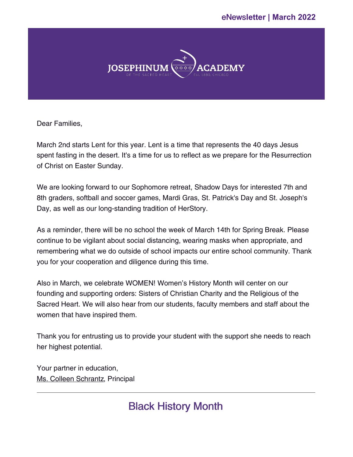### eNews**letter | March 2022**



Dear Families,

March 2nd starts Lent for this year. Lent is a time that represents the 40 days Jesus spent fasting in the desert. It's a time for us to reflect as we prepare for the Resurrection of Christ on Easter Sunday.

We are looking forward to our Sophomore retreat, Shadow Days for interested 7th and 8th graders, softball and soccer games, Mardi Gras, St. Patrick's Day and St. Joseph's Day, as well as our long-standing tradition of HerStory.

As a reminder, there will be no school the week of March 14th for Spring Break. Please continue to be vigilant about social distancing, wearing masks when appropriate, and remembering what we do outside of school impacts our entire school community. Thank you for your cooperation and diligence during this time.

Also in March, we celebrate WOMEN! Women's History Month will center on our founding and supporting orders: Sisters of Christian Charity and the Religious of the Sacred Heart. We will also hear from our students, faculty members and staff about the women that have inspired them.

Thank you for entrusting us to provide your student with the support she needs to reach her highest potential.

Your partner in education, Ms. Colleen [Schrantz](mailto:colleen.schrantz@josephinum.org), Principal

## Black History Month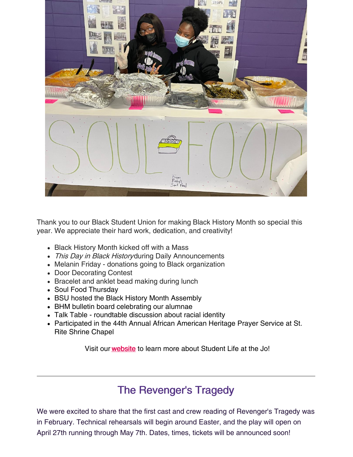

Thank you to our Black Student Union for making Black History Month so special this year. We appreciate their hard work, dedication, and creativity!

- Black History Month kicked off with a Mass
- This Day in Black Historyduring Daily Announcements
- Melanin Friday donations going to Black organization
- Door Decorating Contest
- Bracelet and anklet bead making during lunch
- Soul Food Thursday
- BSU hosted the Black History Month Assembly
- BHM bulletin board celebrating our alumnae
- Talk Table roundtable discussion about racial identity
- Participated in the 44th Annual African American Heritage Prayer Service at St. Rite Shrine Chapel

Visit our [website](https://www.josephinum.org/student-life) to learn more about Student Life at the Jo!

## The Revenger's Tragedy

We were excited to share that the first cast and crew reading of Revenger's Tragedy was in February. Technical rehearsals will begin around Easter, and the play will open on April 27th running through May 7th. Dates, times, tickets will be announced soon!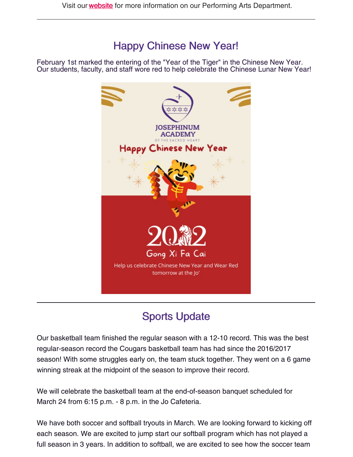## Happy Chinese New Year!

February 1st marked the entering of the "Year of the Tiger" in the Chinese New Year. Our students, faculty, and staff wore red to help celebrate the Chinese Lunar New Year!



# Sports Update

Our basketball team finished the regular season with a 12-10 record. This was the best regular-season record the Cougars basketball team has had since the 2016/2017 season! With some struggles early on, the team stuck together. They went on a 6 game winning streak at the midpoint of the season to improve their record.

We will celebrate the basketball team at the end-of-season banquet scheduled for March 24 from 6:15 p.m. - 8 p.m. in the Jo Cafeteria.

We have both soccer and softball tryouts in March. We are looking forward to kicking off each season. We are excited to jump start our softball program which has not played a full season in 3 years. In addition to softball, we are excited to see how the soccer team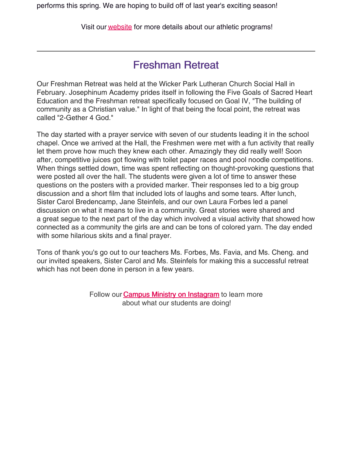Visit our [website](https://il.8to18.com/josephinum/home) for more details about our athletic programs!

### Freshman Retreat

Our Freshman Retreat was held at the Wicker Park Lutheran Church Social Hall in February. Josephinum Academy prides itself in following the Five Goals of Sacred Heart Education and the Freshman retreat specifically focused on Goal IV, "The building of community as a Christian value." In light of that being the focal point, the retreat was called "2-Gether 4 God."

The day started with a prayer service with seven of our students leading it in the school chapel. Once we arrived at the Hall, the Freshmen were met with a fun activity that really let them prove how much they knew each other. Amazingly they did really well! Soon after, competitive juices got flowing with toilet paper races and pool noodle competitions. When things settled down, time was spent reflecting on thought-provoking questions that were posted all over the hall. The students were given a lot of time to answer these questions on the posters with a provided marker. Their responses led to a big group discussion and a short film that included lots of laughs and some tears. After lunch, Sister Carol Bredencamp, Jane Steinfels, and our own Laura Forbes led a panel discussion on what it means to live in a community. Great stories were shared and a great segue to the next part of the day which involved a visual activity that showed how connected as a community the girls are and can be tons of colored yarn. The day ended with some hilarious skits and a final prayer.

Tons of thank you's go out to our teachers Ms. Forbes, Ms. Favia, and Ms. Cheng. and our invited speakers, Sister Carol and Ms. Steinfels for making this a successful retreat which has not been done in person in a few years.

> Follow our **Campus Ministry on [Instagram](https://www.instagram.com/thejocampusministry/)** to learn more about what our students are doing!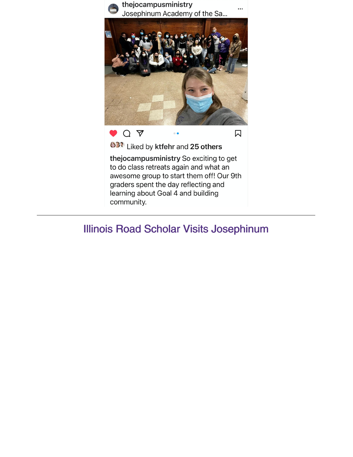

### Illinois Road Scholar Visits Josephinum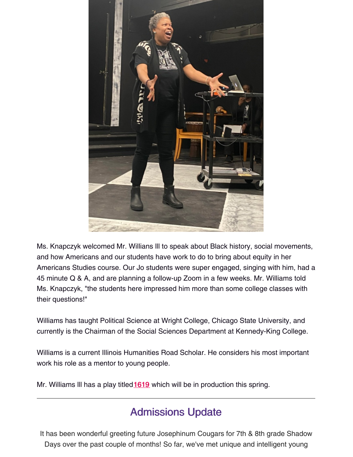

Ms. Knapczyk welcomed Mr. Willians lll to speak about Black history, social movements, and how Americans and our students have work to do to bring about equity in her Americans Studies course. Our Jo students were super engaged, singing with him, had a 45 minute Q & A, and are planning a follow-up Zoom in a few weeks. Mr. Williams told Ms. Knapczyk, "the students here impressed him more than some college classes with their questions!"

Williams has taught Political Science at Wright College, Chicago State University, and currently is the Chairman of the Social Sciences Department at Kennedy-King College.

Williams is a current Illinois Humanities Road Scholar. He considers his most important work his role as a mentor to young people.

Mr. Williams III has a play titled [1619](https://1619musical.com/) which will be in production this spring.

## Admissions Update

It has been wonderful greeting future Josephinum Cougars for 7th & 8th grade Shadow Days over the past couple of months! So far, we've met unique and intelligent young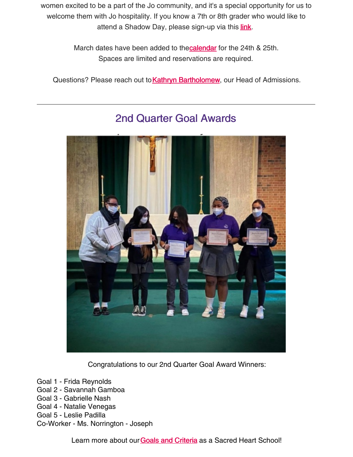women excited to be a part of the Jo community, and it's a special opportunity for us to welcome them with Jo hospitality. If you know a 7th or 8th grader who would like to attend a Shadow Day, please sign-up via this *link*.

> March dates have been added to th[ecalendar](https://www.josephinum.org/about-us/calendar) for the 24th & 25th. Spaces are limited and reservations are required.

Questions? Please reach out to **Kathryn [Bartholomew](mailto:kathryn.bartholomew@josephinum.org)**, our Head of Admissions.



### 2nd Quarter Goal Awards

Congratulations to our 2nd Quarter Goal Award Winners:

- Goal 1 Frida Reynolds
- Goal 2 Savannah Gamboa
- Goal 3 Gabrielle Nash
- Goal 4 Natalie Venegas
- Goal 5 Leslie Padilla
- Co-Worker Ms. Norrington Joseph

Learn more about our **Goals and [Criteria](https://www.josephinum.org/about-us/sacred-heart)** as a Sacred Heart School!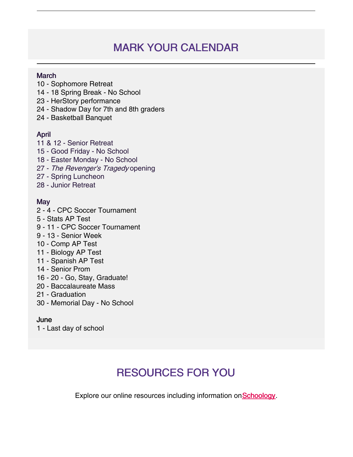# MARK YOUR CALENDAR

#### **March**

- Sophomore Retreat
- 18 Spring Break No School
- HerStory performance
- Shadow Day for 7th and 8th graders
- Basketball Banquet

#### April

- & 12 Senior Retreat
- Good Friday No School
- Easter Monday No School
- 27 The Revenger's Tragedy opening
- Spring Luncheon
- Junior Retreat

#### **May**

- 4 CPC Soccer Tournament
- Stats AP Test
- 11 CPC Soccer Tournament
- 13 Senior Week
- Comp AP Test
- Biology AP Test
- Spanish AP Test
- Senior Prom
- 20 Go, Stay, Graduate!
- Baccalaureate Mass
- Graduation
- Memorial Day No School

#### June

- Last day of school

# RESOURCES FOR YOU

Explore our online resources including information on [Schoology](https://www.josephinum.org/current-families/schoology).